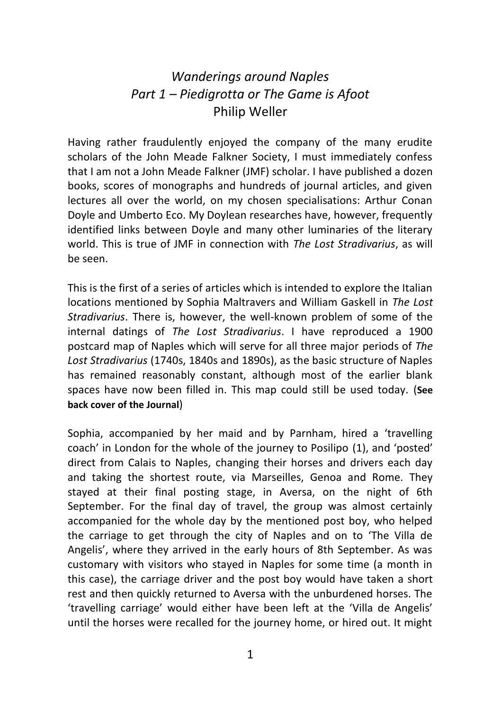## *Wanderings around Naples Part 1 – Piedigrotta or The Game is Afoot* Philip Weller

Having rather fraudulently enjoyed the company of the many erudite scholars of the John Meade Falkner Society, I must immediately confess that I am not a John Meade Falkner (JMF) scholar. I have published a dozen books, scores of monographs and hundreds of journal articles, and given lectures all over the world, on my chosen specialisations: Arthur Conan Doyle and Umberto Eco. My Doylean researches have, however, frequently identified links between Doyle and many other luminaries of the literary world. This is true of JMF in connection with *The Lost Stradivarius*, as will be seen.

This is the first of a series of articles which is intended to explore the Italian locations mentioned by Sophia Maltravers and William Gaskell in *The Lost Stradivarius*. There is, however, the well-known problem of some of the internal datings of *The Lost Stradivarius*. I have reproduced a 1900 postcard map of Naples which will serve for all three major periods of *The Lost Stradivarius* (1740s, 1840s and 1890s), as the basic structure of Naples has remained reasonably constant, although most of the earlier blank spaces have now been filled in. This map could still be used today. (**See back cover of the Journal**)

Sophia, accompanied by her maid and by Parnham, hired a 'travelling coach' in London for the whole of the journey to Posilipo (1), and 'posted' direct from Calais to Naples, changing their horses and drivers each day and taking the shortest route, via Marseilles, Genoa and Rome. They stayed at their final posting stage, in Aversa, on the night of 6th September. For the final day of travel, the group was almost certainly accompanied for the whole day by the mentioned post boy, who helped the carriage to get through the city of Naples and on to 'The Villa de Angelis', where they arrived in the early hours of 8th September. As was customary with visitors who stayed in Naples for some time (a month in this case), the carriage driver and the post boy would have taken a short rest and then quickly returned to Aversa with the unburdened horses. The 'travelling carriage' would either have been left at the 'Villa de Angelis' until the horses were recalled for the journey home, or hired out. It might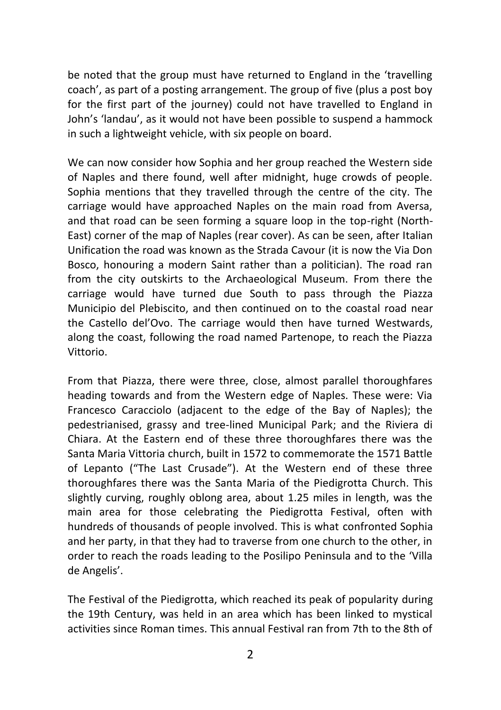be noted that the group must have returned to England in the 'travelling coach', as part of a posting arrangement. The group of five (plus a post boy for the first part of the journey) could not have travelled to England in John's 'landau', as it would not have been possible to suspend a hammock in such a lightweight vehicle, with six people on board.

We can now consider how Sophia and her group reached the Western side of Naples and there found, well after midnight, huge crowds of people. Sophia mentions that they travelled through the centre of the city. The carriage would have approached Naples on the main road from Aversa, and that road can be seen forming a square loop in the top-right (North-East) corner of the map of Naples (rear cover). As can be seen, after Italian Unification the road was known as the Strada Cavour (it is now the Via Don Bosco, honouring a modern Saint rather than a politician). The road ran from the city outskirts to the Archaeological Museum. From there the carriage would have turned due South to pass through the Piazza Municipio del Plebiscito, and then continued on to the coastal road near the Castello del'Ovo. The carriage would then have turned Westwards, along the coast, following the road named Partenope, to reach the Piazza Vittorio.

From that Piazza, there were three, close, almost parallel thoroughfares heading towards and from the Western edge of Naples. These were: Via Francesco Caracciolo (adjacent to the edge of the Bay of Naples); the pedestrianised, grassy and tree-lined Municipal Park; and the Riviera di Chiara. At the Eastern end of these three thoroughfares there was the Santa Maria Vittoria church, built in 1572 to commemorate the 1571 Battle of Lepanto ("The Last Crusade"). At the Western end of these three thoroughfares there was the Santa Maria of the Piedigrotta Church. This slightly curving, roughly oblong area, about 1.25 miles in length, was the main area for those celebrating the Piedigrotta Festival, often with hundreds of thousands of people involved. This is what confronted Sophia and her party, in that they had to traverse from one church to the other, in order to reach the roads leading to the Posilipo Peninsula and to the 'Villa de Angelis'.

The Festival of the Piedigrotta, which reached its peak of popularity during the 19th Century, was held in an area which has been linked to mystical activities since Roman times. This annual Festival ran from 7th to the 8th of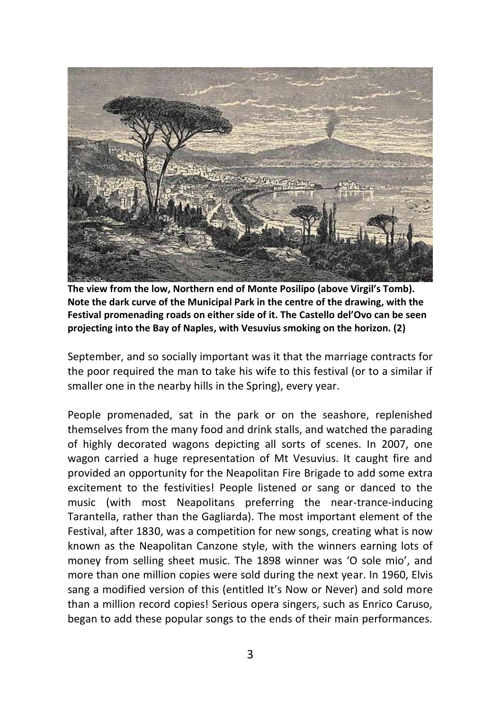

**The view from the low, Northern end of Monte Posilipo (above Virgil's Tomb). Note the dark curve of the Municipal Park in the centre of the drawing, with the Festival promenading roads on either side of it. The Castello del'Ovo can be seen projecting into the Bay of Naples, with Vesuvius smoking on the horizon. (2)**

September, and so socially important was it that the marriage contracts for the poor required the man to take his wife to this festival (or to a similar if smaller one in the nearby hills in the Spring), every year.

People promenaded, sat in the park or on the seashore, replenished themselves from the many food and drink stalls, and watched the parading of highly decorated wagons depicting all sorts of scenes. In 2007, one wagon carried a huge representation of Mt Vesuvius. It caught fire and provided an opportunity for the Neapolitan Fire Brigade to add some extra excitement to the festivities! People listened or sang or danced to the music (with most Neapolitans preferring the near-trance-inducing Tarantella, rather than the Gagliarda). The most important element of the Festival, after 1830, was a competition for new songs, creating what is now known as the Neapolitan Canzone style, with the winners earning lots of money from selling sheet music. The 1898 winner was 'O sole mio', and more than one million copies were sold during the next year. In 1960, Elvis sang a modified version of this (entitled It's Now or Never) and sold more than a million record copies! Serious opera singers, such as Enrico Caruso, began to add these popular songs to the ends of their main performances.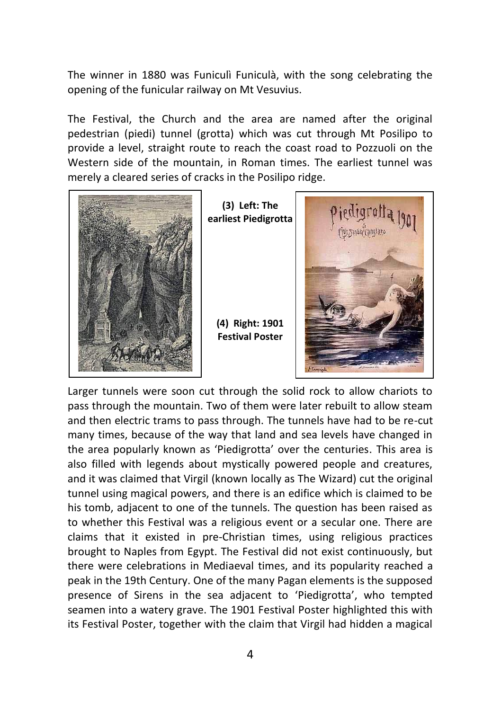The winner in 1880 was Funiculì Funiculà, with the song celebrating the opening of the funicular railway on Mt Vesuvius.

The Festival, the Church and the area are named after the original pedestrian (piedi) tunnel (grotta) which was cut through Mt Posilipo to provide a level, straight route to reach the coast road to Pozzuoli on the Western side of the mountain, in Roman times. The earliest tunnel was merely a cleared series of cracks in the Posilipo ridge.



**(3) Left: The earliest Piedigrotta**

**(4) Right: 1901 Festival Poster**



Larger tunnels were soon cut through the solid rock to allow chariots to pass through the mountain. Two of them were later rebuilt to allow steam and then electric trams to pass through. The tunnels have had to be re-cut many times, because of the way that land and sea levels have changed in the area popularly known as 'Piedigrotta' over the centuries. This area is also filled with legends about mystically powered people and creatures, and it was claimed that Virgil (known locally as The Wizard) cut the original tunnel using magical powers, and there is an edifice which is claimed to be his tomb, adjacent to one of the tunnels. The question has been raised as to whether this Festival was a religious event or a secular one. There are claims that it existed in pre-Christian times, using religious practices brought to Naples from Egypt. The Festival did not exist continuously, but there were celebrations in Mediaeval times, and its popularity reached a peak in the 19th Century. One of the many Pagan elements is the supposed presence of Sirens in the sea adjacent to 'Piedigrotta', who tempted seamen into a watery grave. The 1901 Festival Poster highlighted this with its Festival Poster, together with the claim that Virgil had hidden a magical